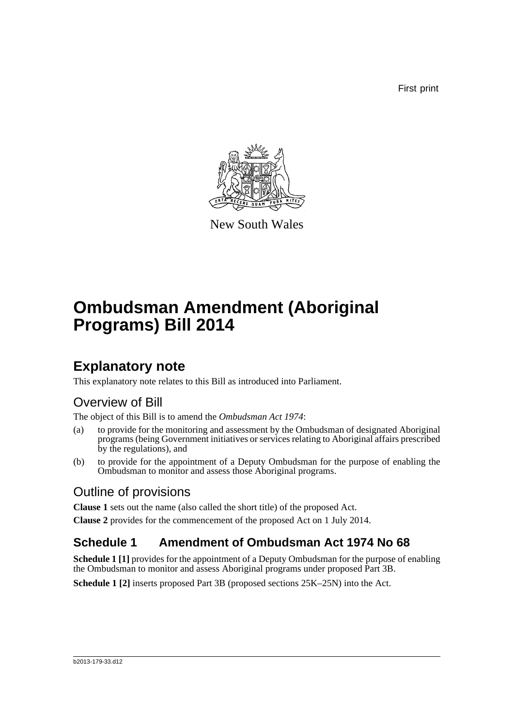First print



New South Wales

# **Ombudsman Amendment (Aboriginal Programs) Bill 2014**

## **Explanatory note**

This explanatory note relates to this Bill as introduced into Parliament.

### Overview of Bill

The object of this Bill is to amend the *Ombudsman Act 1974*:

- (a) to provide for the monitoring and assessment by the Ombudsman of designated Aboriginal programs (being Government initiatives or services relating to Aboriginal affairs prescribed by the regulations), and
- (b) to provide for the appointment of a Deputy Ombudsman for the purpose of enabling the Ombudsman to monitor and assess those Aboriginal programs.

### Outline of provisions

**Clause 1** sets out the name (also called the short title) of the proposed Act. **Clause 2** provides for the commencement of the proposed Act on 1 July 2014.

#### **Schedule 1 Amendment of Ombudsman Act 1974 No 68**

**Schedule 1 [1]** provides for the appointment of a Deputy Ombudsman for the purpose of enabling the Ombudsman to monitor and assess Aboriginal programs under proposed Part 3B.

**Schedule 1 [2]** inserts proposed Part 3B (proposed sections 25K–25N) into the Act.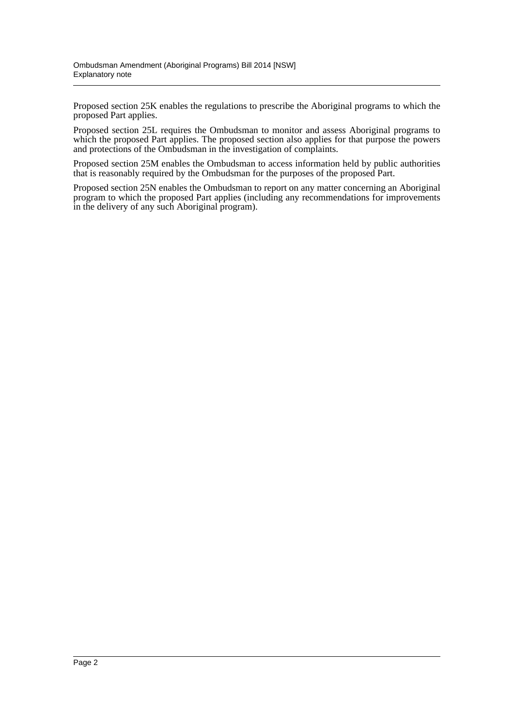Proposed section 25K enables the regulations to prescribe the Aboriginal programs to which the proposed Part applies.

Proposed section 25L requires the Ombudsman to monitor and assess Aboriginal programs to which the proposed Part applies. The proposed section also applies for that purpose the powers and protections of the Ombudsman in the investigation of complaints.

Proposed section 25M enables the Ombudsman to access information held by public authorities that is reasonably required by the Ombudsman for the purposes of the proposed Part.

Proposed section 25N enables the Ombudsman to report on any matter concerning an Aboriginal program to which the proposed Part applies (including any recommendations for improvements in the delivery of any such Aboriginal program).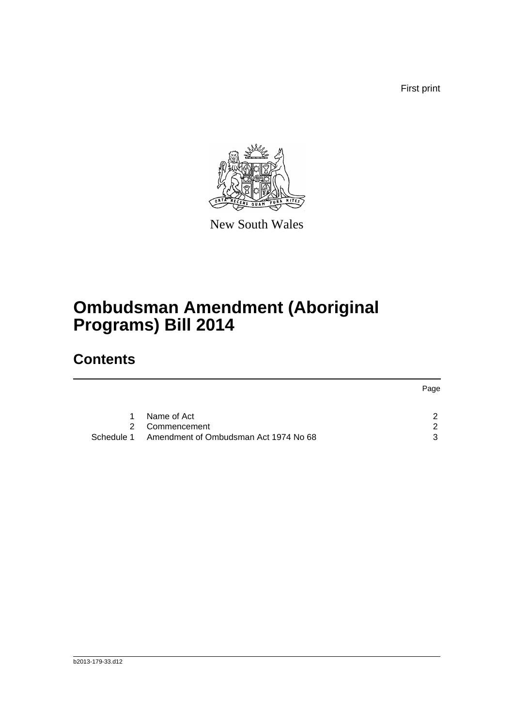First print



New South Wales

## **Ombudsman Amendment (Aboriginal Programs) Bill 2014**

## **Contents**

|   |                                                  | Page          |
|---|--------------------------------------------------|---------------|
| 1 | Name of Act                                      |               |
|   | 2 Commencement                                   | $\mathcal{P}$ |
|   | Schedule 1 Amendment of Ombudsman Act 1974 No 68 | 3             |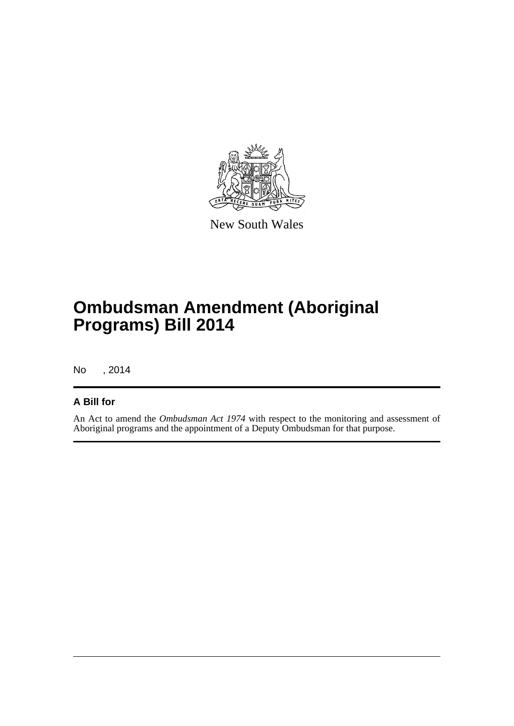

New South Wales

## **Ombudsman Amendment (Aboriginal Programs) Bill 2014**

No , 2014

#### **A Bill for**

An Act to amend the *Ombudsman Act 1974* with respect to the monitoring and assessment of Aboriginal programs and the appointment of a Deputy Ombudsman for that purpose.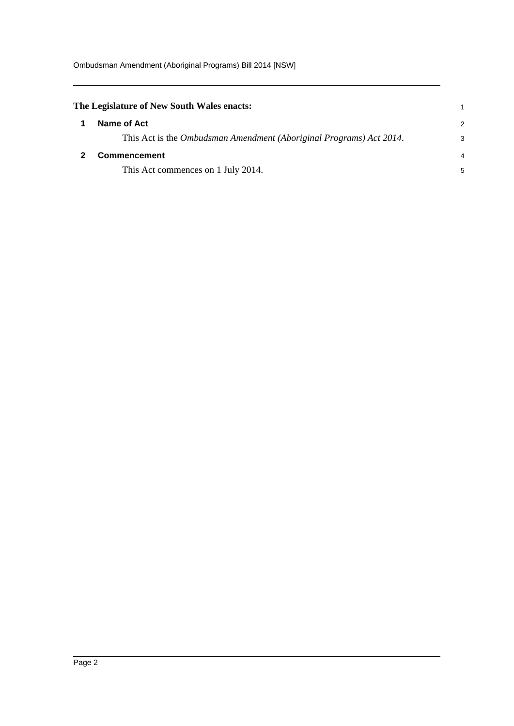<span id="page-4-1"></span><span id="page-4-0"></span>

| The Legislature of New South Wales enacts:                          |               |
|---------------------------------------------------------------------|---------------|
| Name of Act                                                         | $\mathcal{P}$ |
| This Act is the Ombudsman Amendment (Aboriginal Programs) Act 2014. | 3             |
| <b>Commencement</b>                                                 |               |
| This Act commences on 1 July 2014.                                  | 5             |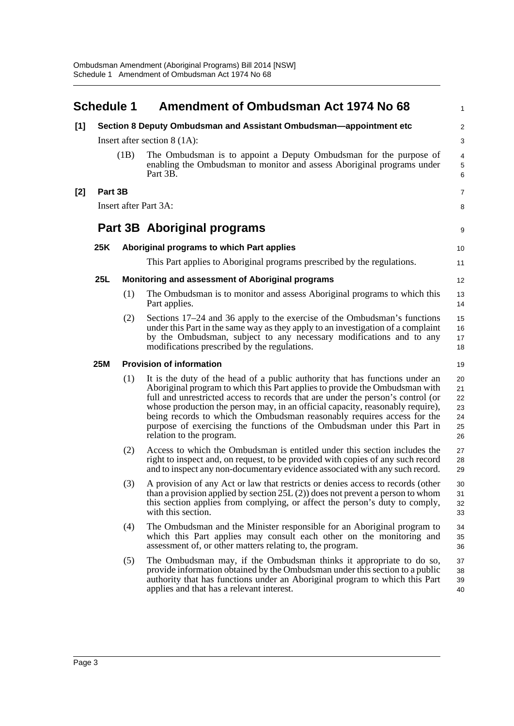<span id="page-5-0"></span>

|       | <b>Schedule 1</b> |     | Amendment of Ombudsman Act 1974 No 68                                                                                                                                                                                                                                                                                                                                                                                                                                                                              | 1                                      |
|-------|-------------------|-----|--------------------------------------------------------------------------------------------------------------------------------------------------------------------------------------------------------------------------------------------------------------------------------------------------------------------------------------------------------------------------------------------------------------------------------------------------------------------------------------------------------------------|----------------------------------------|
| $[1]$ |                   |     | Section 8 Deputy Ombudsman and Assistant Ombudsman—appointment etc                                                                                                                                                                                                                                                                                                                                                                                                                                                 | $\overline{\mathbf{c}}$                |
|       |                   |     | Insert after section $8(1A)$ :                                                                                                                                                                                                                                                                                                                                                                                                                                                                                     | 3                                      |
| (1B)  |                   |     | The Ombudsman is to appoint a Deputy Ombudsman for the purpose of<br>enabling the Ombudsman to monitor and assess Aboriginal programs under<br>Part 3B.                                                                                                                                                                                                                                                                                                                                                            | 4<br>5<br>6                            |
| $[2]$ | Part 3B           |     |                                                                                                                                                                                                                                                                                                                                                                                                                                                                                                                    | 7                                      |
|       |                   |     | Insert after Part 3A:                                                                                                                                                                                                                                                                                                                                                                                                                                                                                              | 8                                      |
|       |                   |     | Part 3B Aboriginal programs                                                                                                                                                                                                                                                                                                                                                                                                                                                                                        | 9                                      |
|       | 25K               |     | Aboriginal programs to which Part applies                                                                                                                                                                                                                                                                                                                                                                                                                                                                          | 10                                     |
|       |                   |     | This Part applies to Aboriginal programs prescribed by the regulations.                                                                                                                                                                                                                                                                                                                                                                                                                                            | 11                                     |
|       | <b>25L</b>        |     | Monitoring and assessment of Aboriginal programs                                                                                                                                                                                                                                                                                                                                                                                                                                                                   | 12                                     |
|       |                   | (1) | The Ombudsman is to monitor and assess Aboriginal programs to which this<br>Part applies.                                                                                                                                                                                                                                                                                                                                                                                                                          | 13<br>14                               |
|       |                   | (2) | Sections 17–24 and 36 apply to the exercise of the Ombudsman's functions<br>under this Part in the same way as they apply to an investigation of a complaint<br>by the Ombudsman, subject to any necessary modifications and to any<br>modifications prescribed by the regulations.                                                                                                                                                                                                                                | 15<br>16<br>17<br>18                   |
|       | <b>25M</b>        |     | <b>Provision of information</b>                                                                                                                                                                                                                                                                                                                                                                                                                                                                                    | 19                                     |
|       |                   | (1) | It is the duty of the head of a public authority that has functions under an<br>Aboriginal program to which this Part applies to provide the Ombudsman with<br>full and unrestricted access to records that are under the person's control (or<br>whose production the person may, in an official capacity, reasonably require),<br>being records to which the Ombudsman reasonably requires access for the<br>purpose of exercising the functions of the Ombudsman under this Part in<br>relation to the program. | 20<br>21<br>22<br>23<br>24<br>25<br>26 |
|       |                   | (2) | Access to which the Ombudsman is entitled under this section includes the<br>right to inspect and, on request, to be provided with copies of any such record<br>and to inspect any non-documentary evidence associated with any such record.                                                                                                                                                                                                                                                                       | 27<br>28<br>29                         |
|       |                   | (3) | A provision of any Act or law that restricts or denies access to records (other<br>than a provision applied by section $25L(2)$ does not prevent a person to whom<br>this section applies from complying, or affect the person's duty to comply,<br>with this section.                                                                                                                                                                                                                                             | 30<br>31<br>32<br>33                   |
|       |                   | (4) | The Ombudsman and the Minister responsible for an Aboriginal program to<br>which this Part applies may consult each other on the monitoring and<br>assessment of, or other matters relating to, the program.                                                                                                                                                                                                                                                                                                       | 34<br>35<br>36                         |
|       |                   | (5) | The Ombudsman may, if the Ombudsman thinks it appropriate to do so,<br>provide information obtained by the Ombudsman under this section to a public<br>authority that has functions under an Aboriginal program to which this Part<br>applies and that has a relevant interest.                                                                                                                                                                                                                                    | 37<br>38<br>39<br>40                   |